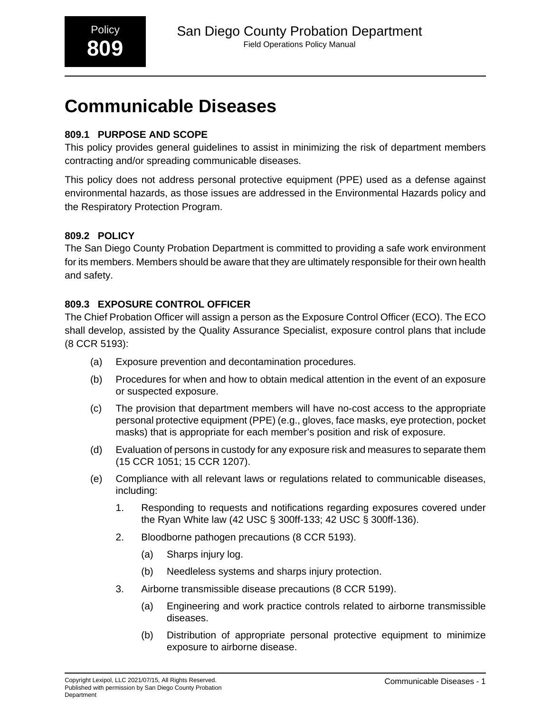# **809.1 PURPOSE AND SCOPE**

This policy provides general guidelines to assist in minimizing the risk of department members contracting and/or spreading communicable diseases.

This policy does not address personal protective equipment (PPE) used as a defense against environmental hazards, as those issues are addressed in the Environmental Hazards policy and the Respiratory Protection Program.

# **809.2 POLICY**

The San Diego County Probation Department is committed to providing a safe work environment for its members. Members should be aware that they are ultimately responsible for their own health and safety.

# **809.3 EXPOSURE CONTROL OFFICER**

The Chief Probation Officer will assign a person as the Exposure Control Officer (ECO). The ECO shall develop, assisted by the Quality Assurance Specialist, exposure control plans that include (8 CCR 5193):

- (a) Exposure prevention and decontamination procedures.
- (b) Procedures for when and how to obtain medical attention in the event of an exposure or suspected exposure.
- (c) The provision that department members will have no-cost access to the appropriate personal protective equipment (PPE) (e.g., gloves, face masks, eye protection, pocket masks) that is appropriate for each member's position and risk of exposure.
- (d) Evaluation of persons in custody for any exposure risk and measures to separate them (15 CCR 1051; 15 CCR 1207).
- (e) Compliance with all relevant laws or regulations related to communicable diseases, including:
	- 1. Responding to requests and notifications regarding exposures covered under the Ryan White law (42 USC § 300ff-133; 42 USC § 300ff-136).
	- 2. Bloodborne pathogen precautions (8 CCR 5193).
		- (a) Sharps injury log.
		- (b) Needleless systems and sharps injury protection.
	- 3. Airborne transmissible disease precautions (8 CCR 5199).
		- (a) Engineering and work practice controls related to airborne transmissible diseases.
		- (b) Distribution of appropriate personal protective equipment to minimize exposure to airborne disease.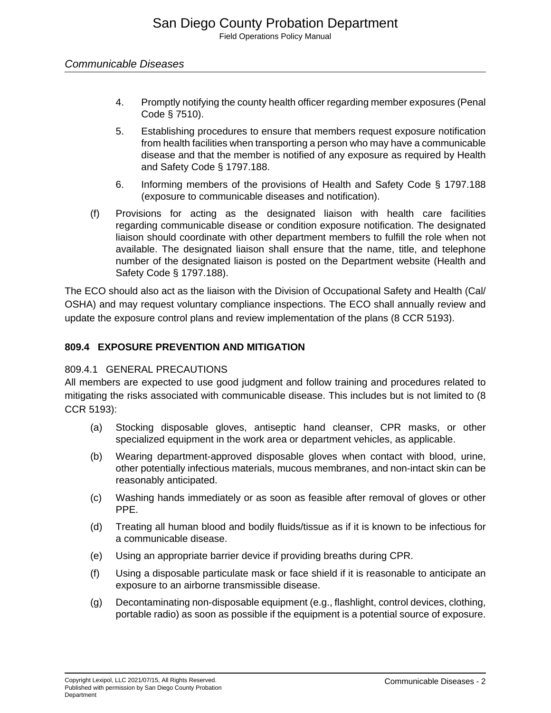- 4. Promptly notifying the county health officer regarding member exposures (Penal Code § 7510).
- 5. Establishing procedures to ensure that members request exposure notification from health facilities when transporting a person who may have a communicable disease and that the member is notified of any exposure as required by Health and Safety Code § 1797.188.
- 6. Informing members of the provisions of Health and Safety Code § 1797.188 (exposure to communicable diseases and notification).
- (f) Provisions for acting as the designated liaison with health care facilities regarding communicable disease or condition exposure notification. The designated liaison should coordinate with other department members to fulfill the role when not available. The designated liaison shall ensure that the name, title, and telephone number of the designated liaison is posted on the Department website (Health and Safety Code § 1797.188).

The ECO should also act as the liaison with the Division of Occupational Safety and Health (Cal/ OSHA) and may request voluntary compliance inspections. The ECO shall annually review and update the exposure control plans and review implementation of the plans (8 CCR 5193).

# **809.4 EXPOSURE PREVENTION AND MITIGATION**

# 809.4.1 GENERAL PRECAUTIONS

All members are expected to use good judgment and follow training and procedures related to mitigating the risks associated with communicable disease. This includes but is not limited to (8 CCR 5193):

- (a) Stocking disposable gloves, antiseptic hand cleanser, CPR masks, or other specialized equipment in the work area or department vehicles, as applicable.
- (b) Wearing department-approved disposable gloves when contact with blood, urine, other potentially infectious materials, mucous membranes, and non-intact skin can be reasonably anticipated.
- (c) Washing hands immediately or as soon as feasible after removal of gloves or other PPE.
- (d) Treating all human blood and bodily fluids/tissue as if it is known to be infectious for a communicable disease.
- (e) Using an appropriate barrier device if providing breaths during CPR.
- (f) Using a disposable particulate mask or face shield if it is reasonable to anticipate an exposure to an airborne transmissible disease.
- (g) Decontaminating non-disposable equipment (e.g., flashlight, control devices, clothing, portable radio) as soon as possible if the equipment is a potential source of exposure.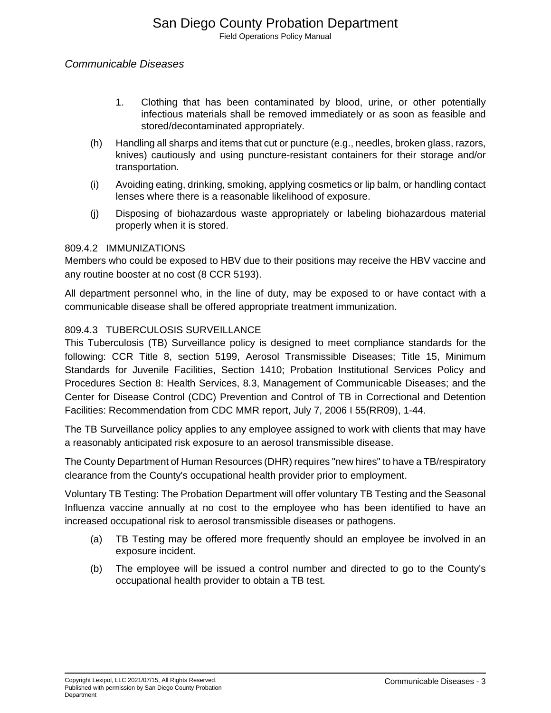- 1. Clothing that has been contaminated by blood, urine, or other potentially infectious materials shall be removed immediately or as soon as feasible and stored/decontaminated appropriately.
- (h) Handling all sharps and items that cut or puncture (e.g., needles, broken glass, razors, knives) cautiously and using puncture-resistant containers for their storage and/or transportation.
- (i) Avoiding eating, drinking, smoking, applying cosmetics or lip balm, or handling contact lenses where there is a reasonable likelihood of exposure.
- (j) Disposing of biohazardous waste appropriately or labeling biohazardous material properly when it is stored.

## 809.4.2 IMMUNIZATIONS

Members who could be exposed to HBV due to their positions may receive the HBV vaccine and any routine booster at no cost (8 CCR 5193).

All department personnel who, in the line of duty, may be exposed to or have contact with a communicable disease shall be offered appropriate treatment immunization.

## 809.4.3 TUBERCULOSIS SURVEILLANCE

This Tuberculosis (TB) Surveillance policy is designed to meet compliance standards for the following: CCR Title 8, section 5199, Aerosol Transmissible Diseases; Title 15, Minimum Standards for Juvenile Facilities, Section 1410; Probation Institutional Services Policy and Procedures Section 8: Health Services, 8.3, Management of Communicable Diseases; and the Center for Disease Control (CDC) Prevention and Control of TB in Correctional and Detention Facilities: Recommendation from CDC MMR report, July 7, 2006 I 55(RR09), 1-44.

The TB Surveillance policy applies to any employee assigned to work with clients that may have a reasonably anticipated risk exposure to an aerosol transmissible disease.

The County Department of Human Resources (DHR) requires "new hires" to have a TB/respiratory clearance from the County's occupational health provider prior to employment.

Voluntary TB Testing: The Probation Department will offer voluntary TB Testing and the Seasonal Influenza vaccine annually at no cost to the employee who has been identified to have an increased occupational risk to aerosol transmissible diseases or pathogens.

- (a) TB Testing may be offered more frequently should an employee be involved in an exposure incident.
- (b) The employee will be issued a control number and directed to go to the County's occupational health provider to obtain a TB test.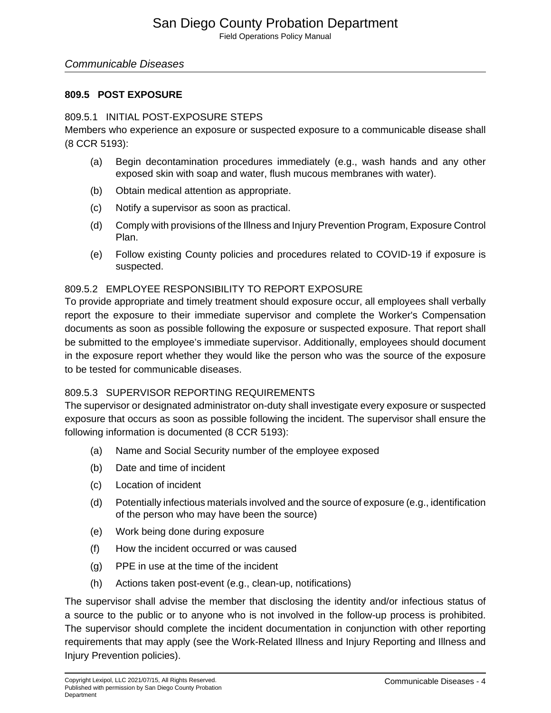## **809.5 POST EXPOSURE**

#### 809.5.1 INITIAL POST-EXPOSURE STEPS

Members who experience an exposure or suspected exposure to a communicable disease shall (8 CCR 5193):

- (a) Begin decontamination procedures immediately (e.g., wash hands and any other exposed skin with soap and water, flush mucous membranes with water).
- (b) Obtain medical attention as appropriate.
- (c) Notify a supervisor as soon as practical.
- (d) Comply with provisions of the Illness and Injury Prevention Program, Exposure Control Plan.
- (e) Follow existing County policies and procedures related to COVID-19 if exposure is suspected.

## 809.5.2 EMPLOYEE RESPONSIBILITY TO REPORT EXPOSURE

To provide appropriate and timely treatment should exposure occur, all employees shall verbally report the exposure to their immediate supervisor and complete the Worker's Compensation documents as soon as possible following the exposure or suspected exposure. That report shall be submitted to the employee's immediate supervisor. Additionally, employees should document in the exposure report whether they would like the person who was the source of the exposure to be tested for communicable diseases.

## 809.5.3 SUPERVISOR REPORTING REQUIREMENTS

The supervisor or designated administrator on-duty shall investigate every exposure or suspected exposure that occurs as soon as possible following the incident. The supervisor shall ensure the following information is documented (8 CCR 5193):

- (a) Name and Social Security number of the employee exposed
- (b) Date and time of incident
- (c) Location of incident
- (d) Potentially infectious materials involved and the source of exposure (e.g., identification of the person who may have been the source)
- (e) Work being done during exposure
- (f) How the incident occurred or was caused
- (g) PPE in use at the time of the incident
- (h) Actions taken post-event (e.g., clean-up, notifications)

The supervisor shall advise the member that disclosing the identity and/or infectious status of a source to the public or to anyone who is not involved in the follow-up process is prohibited. The supervisor should complete the incident documentation in conjunction with other reporting requirements that may apply (see the Work-Related Illness and Injury Reporting and Illness and Injury Prevention policies).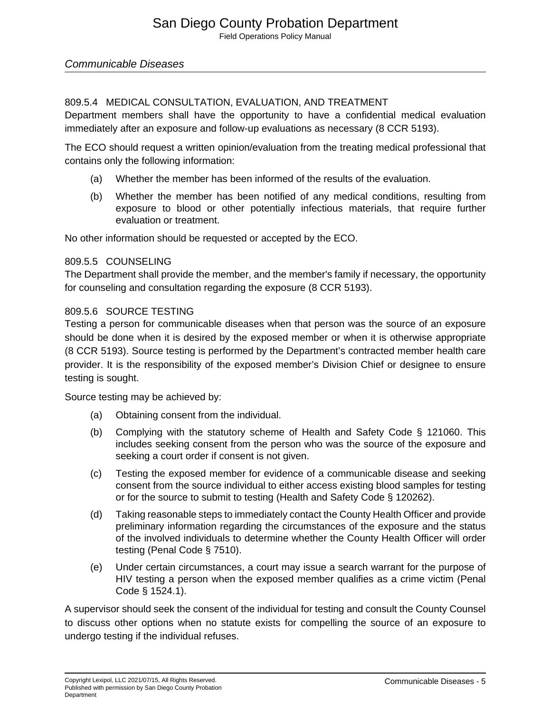## 809.5.4 MEDICAL CONSULTATION, EVALUATION, AND TREATMENT

Department members shall have the opportunity to have a confidential medical evaluation immediately after an exposure and follow-up evaluations as necessary (8 CCR 5193).

The ECO should request a written opinion/evaluation from the treating medical professional that contains only the following information:

- (a) Whether the member has been informed of the results of the evaluation.
- (b) Whether the member has been notified of any medical conditions, resulting from exposure to blood or other potentially infectious materials, that require further evaluation or treatment.

No other information should be requested or accepted by the ECO.

## 809.5.5 COUNSELING

The Department shall provide the member, and the member's family if necessary, the opportunity for counseling and consultation regarding the exposure (8 CCR 5193).

## 809.5.6 SOURCE TESTING

Testing a person for communicable diseases when that person was the source of an exposure should be done when it is desired by the exposed member or when it is otherwise appropriate (8 CCR 5193). Source testing is performed by the Department's contracted member health care provider. It is the responsibility of the exposed member's Division Chief or designee to ensure testing is sought.

Source testing may be achieved by:

- (a) Obtaining consent from the individual.
- (b) Complying with the statutory scheme of Health and Safety Code § 121060. This includes seeking consent from the person who was the source of the exposure and seeking a court order if consent is not given.
- (c) Testing the exposed member for evidence of a communicable disease and seeking consent from the source individual to either access existing blood samples for testing or for the source to submit to testing (Health and Safety Code § 120262).
- (d) Taking reasonable steps to immediately contact the County Health Officer and provide preliminary information regarding the circumstances of the exposure and the status of the involved individuals to determine whether the County Health Officer will order testing (Penal Code § 7510).
- (e) Under certain circumstances, a court may issue a search warrant for the purpose of HIV testing a person when the exposed member qualifies as a crime victim (Penal Code § 1524.1).

A supervisor should seek the consent of the individual for testing and consult the County Counsel to discuss other options when no statute exists for compelling the source of an exposure to undergo testing if the individual refuses.